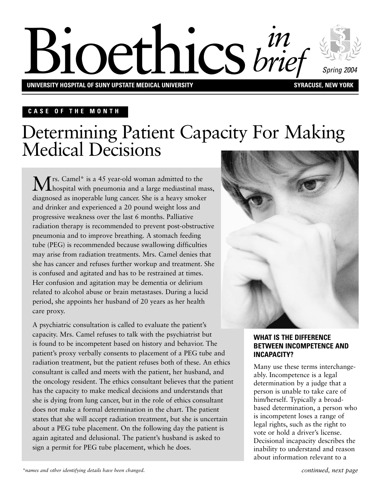

# **Bioethics** brief **UNIVERSITY HOSPITAL OF SUNY UPSTATE MEDICAL UNIVERSITY SYRACUSE, NEW YORK** *brief*

# **CASE OF THE MONTH**

# Determining Patient Capacity For Making Medical Decisions

Mrs. Camel\* is a 45 year-old woman admitted to the hospital with pneumonia and a large mediastinal mass, diagnosed as inoperable lung cancer. She is a heavy smoker and drinker and experienced a 20 pound weight loss and progressive weakness over the last 6 months. Palliative radiation therapy is recommended to prevent post-obstructive pneumonia and to improve breathing. A stomach feeding tube (PEG) is recommended because swallowing difficulties may arise from radiation treatments. Mrs. Camel denies that she has cancer and refuses further workup and treatment. She is confused and agitated and has to be restrained at times. Her confusion and agitation may be dementia or delirium related to alcohol abuse or brain metastases. During a lucid period, she appoints her husband of 20 years as her health care proxy.

A psychiatric consultation is called to evaluate the patient's capacity. Mrs. Camel refuses to talk with the psychiatrist but is found to be incompetent based on history and behavior. The patient's proxy verbally consents to placement of a PEG tube and radiation treatment, but the patient refuses both of these. An ethics consultant is called and meets with the patient, her husband, and the oncology resident. The ethics consultant believes that the patient has the capacity to make medical decisions and understands that she is dying from lung cancer, but in the role of ethics consultant does not make a formal determination in the chart. The patient states that she will accept radiation treatment, but she is uncertain about a PEG tube placement. On the following day the patient is again agitated and delusional. The patient's husband is asked to sign a permit for PEG tube placement, which he does.

# **WHAT IS THE DIFFERENCE BETWEEN INCOMPETENCE AND INCAPACITY?**

Many use these terms interchangeably. Incompetence is a legal determination by a judge that a person is unable to take care of him/herself. Typically a broadbased determination, a person who is incompetent loses a range of legal rights, such as the right to vote or hold a driver's license. Decisional incapacity describes the inability to understand and reason about information relevant to a





*Spring 2004*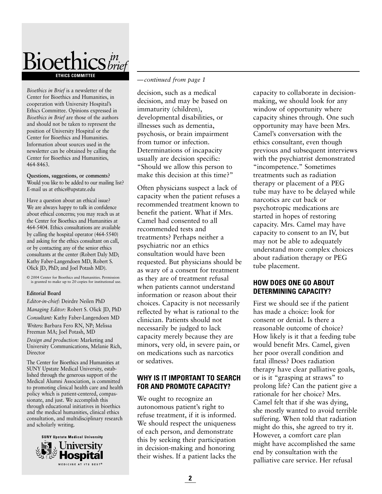

*Bioethics in Brief* is a newsletter of the Center for Bioethics and Humanities, in cooperation with University Hospital's Ethics Committee. Opinions expressed in *Bioethics in Brief* are those of the authors and should not be taken to represent the position of University Hospital or the Center for Bioethics and Humanities. Information about sources used in the newsletter can be obtained by calling the Center for Bioethics and Humanities, 464-8463.

**Questions, suggestions, or comments?** Would you like to be added to our mailing list? E-mail us at ethics@upstate.edu

Have a question about an ethical issue? We are always happy to talk in confidence about ethical concerns; you may reach us at the Center for Bioethics and Humanities at 464-5404. Ethics consultations are available by calling the hospital operator (464-5540) and asking for the ethics consultant on call, or by contacting any of the senior ethics consultants at the center (Robert Daly MD; Kathy Faber-Langendoen MD, Robert S. Olick JD, PhD; and Joel Potash MD).

© 2004 Center for Bioethics and Humanities. Permission is granted to make up to 20 copies for institutional use.

#### **Editorial Board**

*Editor-in-chief:* Deirdre Neilen PhD *Managing Editor:* Robert S. Olick JD, PhD *Consultant:* Kathy Faber-Langendoen MD *Writers:* Barbara Fero RN, NP; Melissa Freeman MA; Joel Potash, MD

*Design and production:* Marketing and University Communications, Melanie Rich, **Director** 

The Center for Bioethics and Humanities at SUNY Upstate Medical University, established through the generous support of the Medical Alumni Association, is committed to promoting clinical health care and health policy which is patient-centered, compassionate, and just. We accomplish this through educational initiatives in bioethics and the medical humanities, clinical ethics consultation, and multidisciplinary research and scholarly writing.



#### *—continued from page 1*

decision, such as a medical decision, and may be based on immaturity (children), developmental disabilities, or illnesses such as dementia, psychosis, or brain impairment from tumor or infection. Determinations of incapacity usually are decision specific: "Should we allow this person to make this decision at this time?"

Often physicians suspect a lack of capacity when the patient refuses a recommended treatment known to benefit the patient. What if Mrs. Camel had consented to all recommended tests and treatments? Perhaps neither a psychiatric nor an ethics consultation would have been requested. But physicians should be as wary of a consent for treatment as they are of treatment refusal when patients cannot understand information or reason about their choices. Capacity is not necessarily reflected by what is rational to the clinician. Patients should not necessarily be judged to lack capacity merely because they are minors, very old, in severe pain, or on medications such as narcotics or sedatives.

#### **WHY IS IT IMPORTANT TO SEARCH FOR AND PROMOTE CAPACITY?**

We ought to recognize an autonomous patient's right to refuse treatment, if it is informed. We should respect the uniqueness of each person, and demonstrate this by seeking their participation in decision-making and honoring their wishes. If a patient lacks the

capacity to collaborate in decisionmaking, we should look for any window of opportunity where capacity shines through. One such opportunity may have been Mrs. Camel's conversation with the ethics consultant, even though previous and subsequent interviews with the psychiatrist demonstrated "incompetence." Sometimes treatments such as radiation therapy or placement of a PEG tube may have to be delayed while narcotics are cut back or psychotropic medications are started in hopes of restoring capacity. Mrs. Camel may have capacity to consent to an IV, but may not be able to adequately understand more complex choices about radiation therapy or PEG tube placement.

### **HOW DOES ONE GO ABOUT DETERMINING CAPACITY?**

First we should see if the patient has made a choice: look for consent or denial. Is there a reasonable outcome of choice? How likely is it that a feeding tube would benefit Mrs. Camel, given her poor overall condition and fatal illness? Does radiation therapy have clear palliative goals, or is it "grasping at straws" to prolong life? Can the patient give a rationale for her choice? Mrs. Camel felt that if she was dying, she mostly wanted to avoid terrible suffering. When told that radiation might do this, she agreed to try it. However, a comfort care plan might have accomplished the same end by consultation with the palliative care service. Her refusal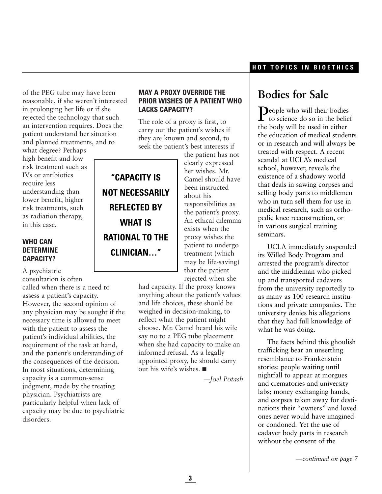of the PEG tube may have been reasonable, if she weren't interested in prolonging her life or if she rejected the technology that such an intervention requires. Does the patient understand her situation and planned treatments, and to

what degree? Perhaps high benefit and low risk treatment such as IVs or antibiotics require less understanding than lower benefit, higher risk treatments, such as radiation therapy, in this case.

## **WHO CAN DETERMINE CAPACITY?**

A psychiatric

consultation is often called when there is a need to assess a patient's capacity. However, the second opinion of any physician may be sought if the necessary time is allowed to meet with the patient to assess the patient's individual abilities, the requirement of the task at hand, and the patient's understanding of the consequences of the decision. In most situations, determining capacity is a common-sense judgment, made by the treating physician. Psychiatrists are particularly helpful when lack of capacity may be due to psychiatric disorders.

# **MAY A PROXY OVERRIDE THE PRIOR WISHES OF A PATIENT WHO LACKS CAPACITY?**

The role of a proxy is first, to carry out the patient's wishes if they are known and second, to seek the patient's best interests if

> the patient has not clearly expressed her wishes. Mr. Camel should have been instructed about his responsibilities as the patient's proxy. An ethical dilemma exists when the proxy wishes the patient to undergo treatment (which may be life-saving) that the patient rejected when she

had capacity. If the proxy knows anything about the patient's values and life choices, these should be weighed in decision-making, to reflect what the patient might choose. Mr. Camel heard his wife say no to a PEG tube placement when she had capacity to make an informed refusal. As a legally appointed proxy, he should carry out his wife's wishes. ■

*—Joel Potash*

# **Bodies for Sale**

**Deople who will their bodies**  $\Gamma$  to science do so in the belief the body will be used in either the education of medical students or in research and will always be treated with respect. A recent scandal at UCLA's medical school, however, reveals the existence of a shadowy world that deals in sawing corpses and selling body parts to middlemen who in turn sell them for use in medical research, such as orthopedic knee reconstruction, or in various surgical training seminars.

UCLA immediately suspended its Willed Body Program and arrested the program's director and the middleman who picked up and transported cadavers from the university reportedly to as many as 100 research institutions and private companies. The university denies his allegations that they had full knowledge of what he was doing.

The facts behind this ghoulish trafficking bear an unsettling resemblance to Frankenstein stories: people waiting until nightfall to appear at morgues and crematories and university labs; money exchanging hands, and corpses taken away for destinations their "owners" and loved ones never would have imagined or condoned. Yet the use of cadaver body parts in research without the consent of the

*—continued on page 7*

# **"CAPACITY IS NOT NECESSARILY REFLECTED BY WHAT IS RATIONAL TO THE CLINICIAN…"**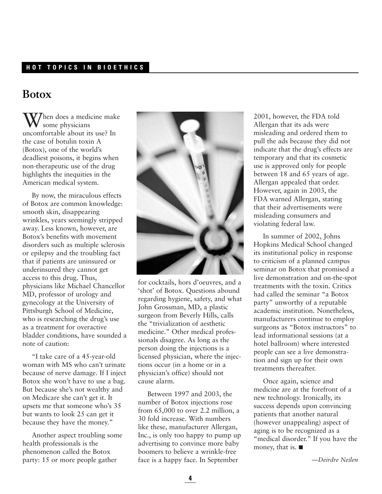# **Botox**

 $V$ hen does a medicine make some physicians uncomfortable about its use? In the case of botulin toxin A (Botox), one of the world's deadliest poisons, it begins when non-therapeutic use of the drug highlights the inequities in the American medical system.

By now, the miraculous effects of Botox are common knowledge: smooth skin, disappearing wrinkles, years seemingly stripped away. Less known, however, are Botox's benefits with movement disorders such as multiple sclerosis or epilepsy and the troubling fact that if patients are uninsured or underinsured they cannot get access to this drug. Thus, physicians like Michael Chancellor MD, professor of urology and gynecology at the University of Pittsburgh School of Medicine, who is researching the drug's use as a treatment for overactive bladder conditions, have sounded a note of caution:

"I take care of a 45-year-old woman with MS who can't urinate because of nerve damage. If I inject Botox she won't have to use a bag. But because she's not wealthy and on Medicare she can't get it. It upsets me that someone who's 35 but wants to look 25 can get it because they have the money."

Another aspect troubling some health professionals is the phenomenon called the Botox party: 15 or more people gather



for cocktails, hors d'oeuvres, and a 'shot' of Botox. Questions abound regarding hygiene, safety, and what John Grossman, MD, a plastic surgeon from Beverly Hills, calls the "trivialization of aesthetic medicine." Other medical professionals disagree. As long as the person doing the injections is a licensed physician, where the injections occur (in a home or in a physician's office) should not cause alarm.

Between 1997 and 2003, the number of Botox injections rose from 65,000 to over 2.2 million, a 30 fold increase. With numbers like these, manufacturer Allergan, Inc., is only too happy to pump up advertising to convince more baby boomers to believe a wrinkle-free face is a happy face. In September

2001, however, the FDA told Allergan that its ads were misleading and ordered them to pull the ads because they did not indicate that the drug's effects are temporary and that its cosmetic use is approved only for people between 18 and 65 years of age. Allergan appealed that order. However, again in 2003, the FDA warned Allergan, stating that their advertisements were misleading consumers and violating federal law.

In summer of 2002, Johns Hopkins Medical School changed its institutional policy in response to criticism of a planned campus seminar on Botox that promised a live demonstration and on-the-spot treatments with the toxin. Critics had called the seminar "a Botox party" unworthy of a reputable academic institution. Nonetheless, manufacturers continue to employ surgeons as "Botox instructors" to lead informational sessions (at a hotel ballroom) where interested people can see a live demonstration and sign up for their own treatments thereafter.

Once again, science and medicine are at the forefront of a new technology. Ironically, its success depends upon convincing patients that another natural (however unappealing) aspect of aging is to be recognized as a "medical disorder." If you have the money, that is. ■

*—Deirdre Neilen*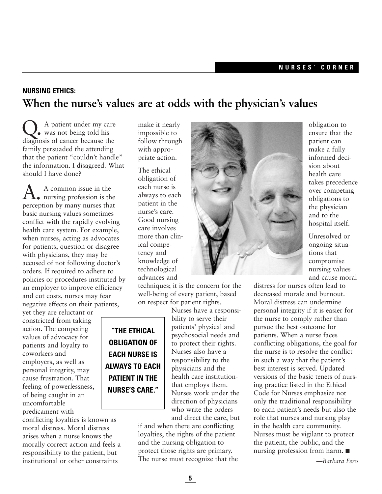# **NURSING ETHICS: When the nurse's values are at odds with the physician's values**

Q. A patient under my care was not being told his diagnosis of cancer because the family persuaded the attending that the patient "couldn't handle" the information. I disagreed. What should I have done?

A. A common issue in the nursing profession is the perception by many nurses that basic nursing values sometimes conflict with the rapidly evolving health care system. For example, when nurses, acting as advocates for patients, question or disagree with physicians, they may be accused of not following doctor's orders. If required to adhere to policies or procedures instituted by an employer to improve efficiency and cut costs, nurses may fear negative effects on their patients,

yet they are reluctant or constricted from taking action. The competing values of advocacy for patients and loyalty to coworkers and employers, as well as personal integrity, may cause frustration. That feeling of powerlessness, of being caught in an uncomfortable predicament with

conflicting loyalties is known as moral distress. Moral distress arises when a nurse knows the morally correct action and feels a responsibility to the patient, but institutional or other constraints

make it nearly impossible to follow through with appropriate action.

The ethical obligation of each nurse is always to each patient in the nurse's care. Good nursing care involves more than clinical competency and knowledge of technological advances and

techniques; it is the concern for the well-being of every patient, based on respect for patient rights.

**"THE ETHICAL OBLIGATION OF EACH NURSE IS ALWAYS TO EACH PATIENT IN THE NURSE'S CARE."**

Nurses have a responsibility to serve their patients' physical and psychosocial needs and to protect their rights. Nurses also have a responsibility to the physicians and the health care institutionthat employs them. Nurses work under the direction of physicians who write the orders

and direct the care, but if and when there are conflicting loyalties, the rights of the patient and the nursing obligation to protect those rights are primary. The nurse must recognize that the



obligation to ensure that the patient can make a fully informed decision about health care takes precedence over competing obligations to the physician and to the hospital itself.

Unresolved or ongoing situations that compromise nursing values and cause moral

distress for nurses often lead to decreased morale and burnout. Moral distress can undermine personal integrity if it is easier for the nurse to comply rather than pursue the best outcome for patients. When a nurse faces conflicting obligations, the goal for the nurse is to resolve the conflict in such a way that the patient's best interest is served. Updated versions of the basic tenets of nursing practice listed in the Ethical Code for Nurses emphasize not only the traditional responsibility to each patient's needs but also the role that nurses and nursing play in the health care community. Nurses must be vigilant to protect the patient, the public, and the nursing profession from harm. ■

*—Barbara Fero*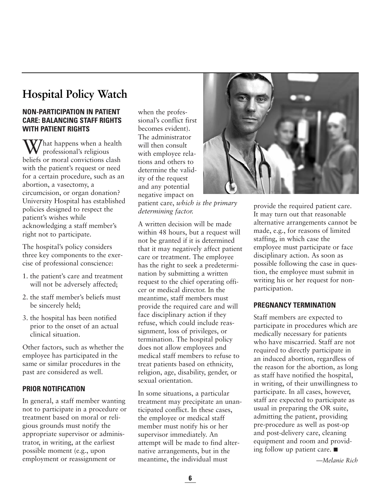# **Hospital Policy Watch**

### **NON-PARTICIPATION IN PATIENT CARE: BALANCING STAFF RIGHTS WITH PATIENT RIGHTS**

 $\sqrt{\frac{1}{\pi}}$ hat happens when a health professional's religious beliefs or moral convictions clash with the patient's request or need for a certain procedure, such as an abortion, a vasectomy, a circumcision, or organ donation? University Hospital has established policies designed to respect the patient's wishes while acknowledging a staff member's right not to participate.

The hospital's policy considers three key components to the exercise of professional conscience:

- 1. the patient's care and treatment will not be adversely affected;
- 2. the staff member's beliefs must be sincerely held;
- 3. the hospital has been notified prior to the onset of an actual clinical situation.

Other factors, such as whether the employee has participated in the same or similar procedures in the past are considered as well.

# **PRIOR NOTIFICATION**

In general, a staff member wanting not to participate in a procedure or treatment based on moral or religious grounds must notify the appropriate supervisor or administrator, in writing, at the earliest possible moment (e.g., upon employment or reassignment or

when the professional's conflict first becomes evident). The administrator will then consult with employee relations and others to determine the validity of the request and any potential negative impact on

patient care, *which is the primary determining factor.* 

A written decision will be made within 48 hours, but a request will not be granted if it is determined that it may negatively affect patient care or treatment. The employee has the right to seek a predetermination by submitting a written request to the chief operating officer or medical director. In the meantime, staff members must provide the required care and will face disciplinary action if they refuse, which could include reassignment, loss of privileges, or termination. The hospital policy does not allow employees and medical staff members to refuse to treat patients based on ethnicity, religion, age, disability, gender, or sexual orientation.

In some situations, a particular treatment may precipitate an unanticipated conflict. In these cases, the employee or medical staff member must notify his or her supervisor immediately. An attempt will be made to find alternative arrangements, but in the meantime, the individual must



provide the required patient care. It may turn out that reasonable alternative arrangements cannot be made, e.g., for reasons of limited staffing, in which case the employee must participate or face disciplinary action. As soon as possible following the case in question, the employee must submit in writing his or her request for nonparticipation.

#### **PREGNANCY TERMINATION**

Staff members are expected to participate in procedures which are medically necessary for patients who have miscarried. Staff are not required to directly participate in an induced abortion, regardless of the reason for the abortion, as long as staff have notified the hospital, in writing, of their unwillingness to participate. In all cases, however, staff are expected to participate as usual in preparing the OR suite, admitting the patient, providing pre-procedure as well as post-op and post-delivery care, cleaning equipment and room and providing follow up patient care. ■

*—Melanie Rich*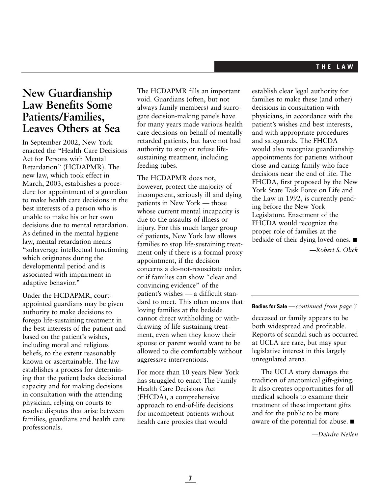# **New Guardianship Law Benefits Some Patients/Families, Leaves Others at Sea**

In September 2002, New York enacted the "Health Care Decisions Act for Persons with Mental Retardation" (HCDAPMR). The new law, which took effect in March, 2003, establishes a procedure for appointment of a guardian to make health care decisions in the best interests of a person who is unable to make his or her own decisions due to mental retardation. As defined in the mental hygiene law, mental retardation means "subaverage intellectual functioning which originates during the developmental period and is associated with impairment in adaptive behavior."

Under the HCDAPMR, courtappointed guardians may be given authority to make decisions to forego life-sustaining treatment in the best interests of the patient and based on the patient's wishes, including moral and religious beliefs, to the extent reasonably known or ascertainable. The law establishes a process for determining that the patient lacks decisional capacity and for making decisions in consultation with the attending physician, relying on courts to resolve disputes that arise between families, guardians and health care professionals.

The HCDAPMR fills an important void. Guardians (often, but not always family members) and surrogate decision-making panels have for many years made various health care decisions on behalf of mentally retarded patients, but have not had authority to stop or refuse lifesustaining treatment, including feeding tubes.

The HCDAPMR does not, however, protect the majority of incompetent, seriously ill and dying patients in New York — those whose current mental incapacity is due to the assaults of illness or injury. For this much larger group of patients, New York law allows families to stop life-sustaining treatment only if there is a formal proxy appointment, if the decision concerns a do-not-resuscitate order, or if families can show "clear and convincing evidence" of the patient's wishes — a difficult standard to meet. This often means that loving families at the bedside cannot direct withholding or withdrawing of life-sustaining treatment, even when they know their spouse or parent would want to be allowed to die comfortably without aggressive interventions.

For more than 10 years New York has struggled to enact The Family Health Care Decisions Act (FHCDA), a comprehensive approach to end-of-life decisions for incompetent patients without health care proxies that would

establish clear legal authority for families to make these (and other) decisions in consultation with physicians, in accordance with the patient's wishes and best interests, and with appropriate procedures and safeguards. The FHCDA would also recognize guardianship appointments for patients without close and caring family who face decisions near the end of life. The FHCDA, first proposed by the New York State Task Force on Life and the Law in 1992, is currently pending before the New York Legislature. Enactment of the FHCDA would recognize the proper role of families at the bedside of their dying loved ones. ■

*—Robert S. Olick*

#### **Bodies for Sale** *—continued from page 3*

deceased or family appears to be both widespread and profitable. Reports of scandal such as occurred at UCLA are rare, but may spur legislative interest in this largely unregulated arena.

The UCLA story damages the tradition of anatomical gift-giving. It also creates opportunities for all medical schools to examine their treatment of these important gifts and for the public to be more aware of the potential for abuse. ■

*—Deirdre Neilen*